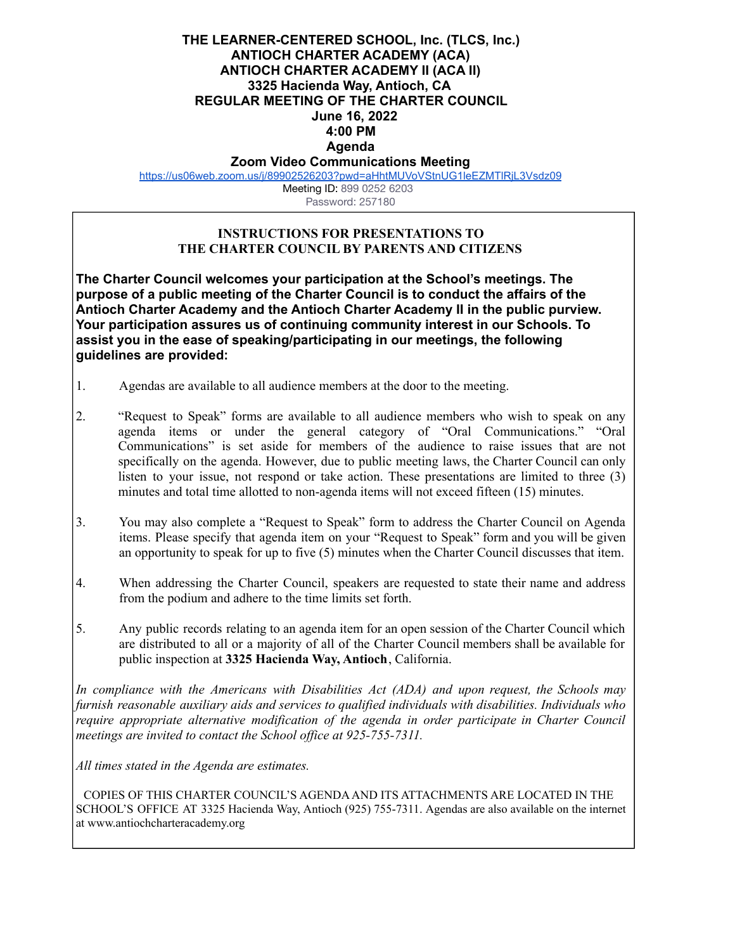## **THE LEARNER-CENTERED SCHOOL, Inc. (TLCS, Inc.) ANTIOCH CHARTER ACADEMY (ACA) ANTIOCH CHARTER ACADEMY II (ACA II) 3325 Hacienda Way, Antioch, CA REGULAR MEETING OF THE CHARTER COUNCIL June 16, 2022 4:00 PM Agenda**

**Zoom Video Communications Meeting** <https://us06web.zoom.us/j/89902526203?pwd=aHhtMUVoVStnUG1leEZMTlRjL3Vsdz09>

> Meeting ID: 899 0252 6203 Password: 257180

## **INSTRUCTIONS FOR PRESENTATIONS TO THE CHARTER COUNCIL BY PARENTS AND CITIZENS**

**The Charter Council welcomes your participation at the School's meetings. The purpose of a public meeting of the Charter Council is to conduct the affairs of the Antioch Charter Academy and the Antioch Charter Academy II in the public purview. Your participation assures us of continuing community interest in our Schools. To assist you in the ease of speaking/participating in our meetings, the following guidelines are provided:**

- 1. Agendas are available to all audience members at the door to the meeting.
- 2. "Request to Speak" forms are available to all audience members who wish to speak on any agenda items or under the general category of "Oral Communications." "Oral Communications" is set aside for members of the audience to raise issues that are not specifically on the agenda. However, due to public meeting laws, the Charter Council can only listen to your issue, not respond or take action. These presentations are limited to three (3) minutes and total time allotted to non-agenda items will not exceed fifteen (15) minutes.
- 3. You may also complete a "Request to Speak" form to address the Charter Council on Agenda items. Please specify that agenda item on your "Request to Speak" form and you will be given an opportunity to speak for up to five (5) minutes when the Charter Council discusses that item.
- 4. When addressing the Charter Council, speakers are requested to state their name and address from the podium and adhere to the time limits set forth.
- 5. Any public records relating to an agenda item for an open session of the Charter Council which are distributed to all or a majority of all of the Charter Council members shall be available for public inspection at **3325 Hacienda Way, Antioch**, California.

*In compliance with the Americans with Disabilities Act (ADA) and upon request, the Schools may furnish reasonable auxiliary aids and services to qualified individuals with disabilities. Individuals who require appropriate alternative modification of the agenda in order participate in Charter Council meetings are invited to contact the School of ice at 925-755-7311.*

*All times stated in the Agenda are estimates.*

COPIES OF THIS CHARTER COUNCIL'S AGENDAAND ITS ATTACHMENTS ARE LOCATED IN THE SCHOOL'S OFFICE AT 3325 Hacienda Way, Antioch (925) 755-7311. Agendas are also available on the internet at [www.antiochcharteracademy.org](http://www.antiochcharteracademy.org/)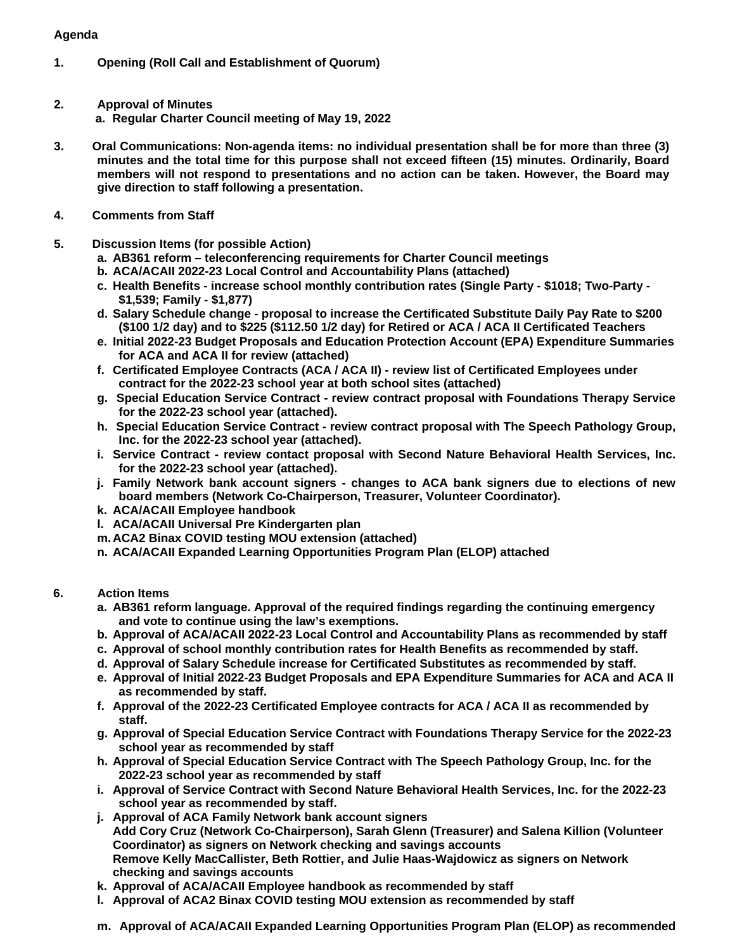## **Agenda**

- **1. Opening (Roll Call and Establishment of Quorum)**
- **2. Approval of Minutes a. Regular Charter Council meeting of May 19, 2022**
- **3. Oral Communications: Non-agenda items: no individual presentation shall be for more than three (3) minutes and the total time for this purpose shall not exceed fifteen (15) minutes. Ordinarily, Board members will not respond to presentations and no action can be taken. However, the Board may give direction to staff following a presentation.**
- **4. Comments from Staff**
- **5. Discussion Items (for possible Action)**
	- **a. AB361 reform teleconferencing requirements for Charter Council meetings**
	- **b. ACA/ACAII 2022-23 Local Control and Accountability Plans (attached)**
	- **c. Health Benefits increase school monthly contribution rates (Single Party \$1018; Two-Party \$1,539; Family - \$1,877)**
	- **d. Salary Schedule change proposal to increase the Certificated Substitute Daily Pay Rate to \$200 (\$100 1/2 day) and to \$225 (\$112.50 1/2 day) for Retired or ACA / ACA II Certificated Teachers**
	- **e. Initial 2022-23 Budget Proposals and Education Protection Account (EPA) Expenditure Summaries for ACA and ACA II for review (attached)**
	- **f. Certificated Employee Contracts (ACA / ACA II) review list of Certificated Employees under contract for the 2022-23 school year at both school sites (attached)**
	- **g. Special Education Service Contract review contract proposal with Foundations Therapy Service for the 2022-23 school year (attached).**
	- **h. Special Education Service Contract review contract proposal with The Speech Pathology Group, Inc. for the 2022-23 school year (attached).**
	- **i. Service Contract review contact proposal with Second Nature Behavioral Health Services, Inc. for the 2022-23 school year (attached).**
	- **j. Family Network bank account signers changes to ACA bank signers due to elections of new board members (Network Co-Chairperson, Treasurer, Volunteer Coordinator).**
	- **k. ACA/ACAII Employee handbook**
	- **l. ACA/ACAII Universal Pre Kindergarten plan**
	- **m. ACA2 Binax COVID testing MOU extension (attached)**
	- **n. ACA/ACAII Expanded Learning Opportunities Program Plan (ELOP) attached**
- **6. Action Items**
	- **a. AB361 reform language. Approval of the required findings regarding the continuing emergency and vote to continue using the law's exemptions.**
	- **b. Approval of ACA/ACAII 2022-23 Local Control and Accountability Plans as recommended by staff**
	- **c. Approval of school monthly contribution rates for Health Benefits as recommended by staff.**
	- **d. Approval of Salary Schedule increase for Certificated Substitutes as recommended by staff.**
	- **e. Approval of Initial 2022-23 Budget Proposals and EPA Expenditure Summaries for ACA and ACA II as recommended by staff.**
	- **f. Approval of the 2022-23 Certificated Employee contracts for ACA / ACA II as recommended by staff.**
	- **g. Approval of Special Education Service Contract with Foundations Therapy Service for the 2022-23 school year as recommended by staff**
	- **h. Approval of Special Education Service Contract with The Speech Pathology Group, Inc. for the 2022-23 school year as recommended by staff**
	- **i. Approval of Service Contract with Second Nature Behavioral Health Services, Inc. for the 2022-23 school year as recommended by staff.**
	- **j. Approval of ACA Family Network bank account signers Add Cory Cruz (Network Co-Chairperson), Sarah Glenn (Treasurer) and Salena Killion (Volunteer Coordinator) as signers on Network checking and savings accounts Remove Kelly MacCallister, Beth Rottier, and Julie Haas-Wajdowicz as signers on Network checking and savings accounts**
	- **k. Approval of ACA/ACAII Employee handbook as recommended by staff**
	- **l. Approval of ACA2 Binax COVID testing MOU extension as recommended by staff**
	- **m. Approval of ACA/ACAII Expanded Learning Opportunities Program Plan (ELOP) as recommended**